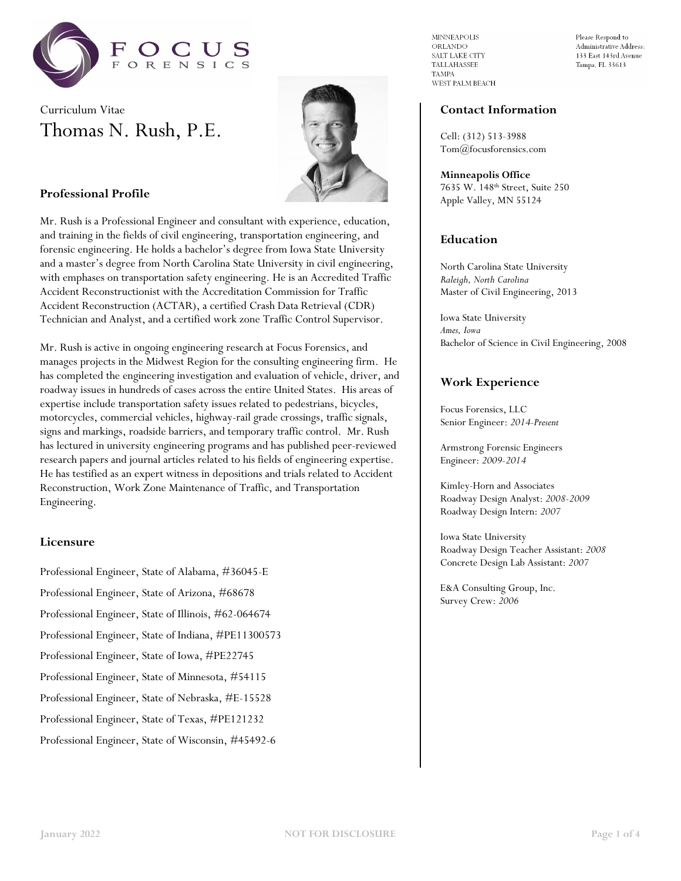





# **Professional Profile**

Mr. Rush is a Professional Engineer and consultant with experience, education, and training in the fields of civil engineering, transportation engineering, and forensic engineering. He holds a bachelor's degree from Iowa State University and a master's degree from North Carolina State University in civil engineering, with emphases on transportation safety engineering. He is an Accredited Traffic Accident Reconstructionist with the Accreditation Commission for Traffic Accident Reconstruction (ACTAR), a certified Crash Data Retrieval (CDR) Technician and Analyst, and a certified work zone Traffic Control Supervisor.

Mr. Rush is active in ongoing engineering research at Focus Forensics, and manages projects in the Midwest Region for the consulting engineering firm. He has completed the engineering investigation and evaluation of vehicle, driver, and roadway issues in hundreds of cases across the entire United States. His areas of expertise include transportation safety issues related to pedestrians, bicycles, motorcycles, commercial vehicles, highway-rail grade crossings, traffic signals, signs and markings, roadside barriers, and temporary traffic control. Mr. Rush has lectured in university engineering programs and has published peer-reviewed research papers and journal articles related to his fields of engineering expertise. He has testified as an expert witness in depositions and trials related to Accident Reconstruction, Work Zone Maintenance of Traffic, and Transportation Engineering.

# **Licensure**

Professional Engineer, State of Alabama, #36045-E

Professional Engineer, State of Arizona, #68678

Professional Engineer, State of Illinois, #62-064674

Professional Engineer, State of Indiana, #PE11300573

Professional Engineer, State of Iowa, #PE22745

Professional Engineer, State of Minnesota, #54115

Professional Engineer, State of Nebraska, #E-15528

Professional Engineer, State of Texas, #PE121232

Professional Engineer, State of Wisconsin, #45492-6

**MINNEAPOLIS** ORLANDO SALT LAKE CITY TALLAHASSEE **TAMPA** WEST PALM BEACH Please Respond to Administrative Address: 133 East 143rd Avenue Tampa, FL 33613

## **Contact Information**

Cell: (312) 513-3988 Tom@focusforensics.com

**Minneapolis Office** 7635 W. 148th Street, Suite 250 Apple Valley, MN 55124

# **Education**

North Carolina State University *Raleigh, North Carolina* Master of Civil Engineering, 2013

Iowa State University *Ames, Iowa* Bachelor of Science in Civil Engineering, 2008

# **Work Experience**

Focus Forensics, LLC Senior Engineer: *2014-Present*

Armstrong Forensic Engineers Engineer: *2009-2014*

Kimley-Horn and Associates Roadway Design Analyst: *2008-2009* Roadway Design Intern: *2007*

Iowa State University Roadway Design Teacher Assistant: *2008* Concrete Design Lab Assistant: *2007*

E&A Consulting Group, Inc. Survey Crew: *2006*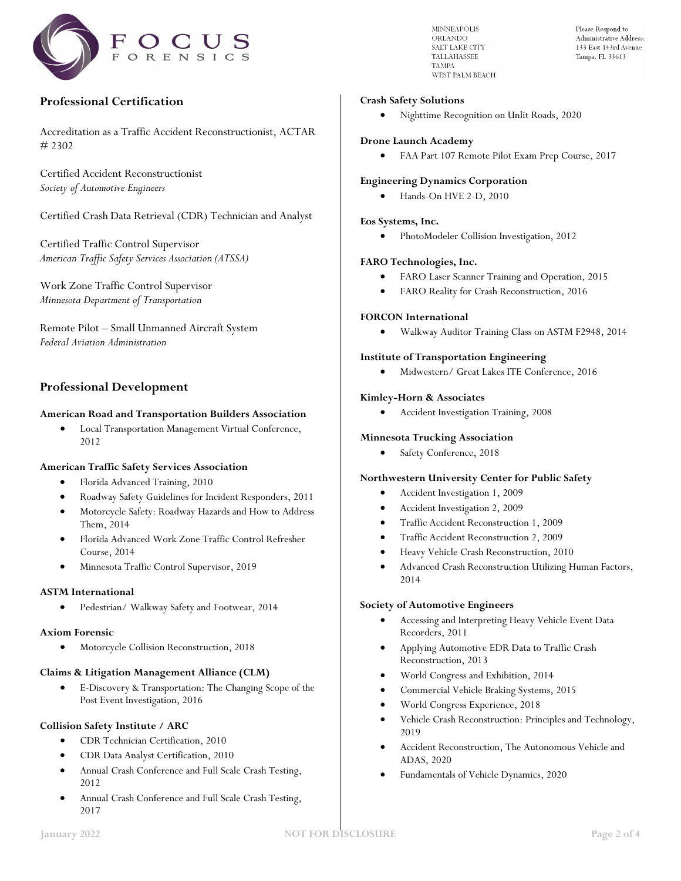

# **Professional Certification**

Accreditation as a Traffic Accident Reconstructionist, ACTAR # 2302

Certified Accident Reconstructionist *Society of Automotive Engineers*

Certified Crash Data Retrieval (CDR) Technician and Analyst

Certified Traffic Control Supervisor *American Traffic Safety Services Association (ATSSA)*

Work Zone Traffic Control Supervisor *Minnesota Department of Transportation*

Remote Pilot – Small Unmanned Aircraft System *Federal Aviation Administration*

# **Professional Development**

### **American Road and Transportation Builders Association**

• Local Transportation Management Virtual Conference, 2012

### **American Traffic Safety Services Association**

- Florida Advanced Training, 2010
- Roadway Safety Guidelines for Incident Responders, 2011
- Motorcycle Safety: Roadway Hazards and How to Address Them, 2014
- Florida Advanced Work Zone Traffic Control Refresher Course, 2014
- Minnesota Traffic Control Supervisor, 2019

#### **ASTM International**

• Pedestrian/ Walkway Safety and Footwear, 2014

#### **Axiom Forensic**

• Motorcycle Collision Reconstruction, 2018

#### **Claims & Litigation Management Alliance (CLM)**

• E-Discovery & Transportation: The Changing Scope of the Post Event Investigation, 2016

## **Collision Safety Institute / ARC**

- CDR Technician Certification, 2010
- CDR Data Analyst Certification, 2010
- Annual Crash Conference and Full Scale Crash Testing, 2012
- Annual Crash Conference and Full Scale Crash Testing, 2017

**MINNEAPOLIS** ORLANDO SALT LAKE CITY **TALLAHASSEE TAMPA** WEST PALM BEACH Please Respond to Administrative Address: 133 East 143rd Avenue Tampa, FL 33613

### **Crash Safety Solutions**

• Nighttime Recognition on Unlit Roads, 2020

#### **Drone Launch Academy**

• FAA Part 107 Remote Pilot Exam Prep Course, 2017

#### **Engineering Dynamics Corporation**

• Hands-On HVE 2-D, 2010

#### **Eos Systems, Inc.**

• PhotoModeler Collision Investigation, 2012

#### **FARO Technologies, Inc.**

- FARO Laser Scanner Training and Operation, 2015
- FARO Reality for Crash Reconstruction, 2016

## **FORCON International**

• Walkway Auditor Training Class on ASTM F2948, 2014

#### **Institute of Transportation Engineering**

• Midwestern/ Great Lakes ITE Conference, 2016

### **Kimley-Horn & Associates**

• Accident Investigation Training, 2008

### **Minnesota Trucking Association**

Safety Conference, 2018

#### **Northwestern University Center for Public Safety**

- Accident Investigation 1, 2009
- Accident Investigation 2, 2009
- Traffic Accident Reconstruction 1, 2009
- Traffic Accident Reconstruction 2, 2009
- Heavy Vehicle Crash Reconstruction, 2010
- Advanced Crash Reconstruction Utilizing Human Factors, 2014

#### **Society of Automotive Engineers**

- Accessing and Interpreting Heavy Vehicle Event Data Recorders, 2011
- Applying Automotive EDR Data to Traffic Crash Reconstruction, 2013
- World Congress and Exhibition, 2014
- Commercial Vehicle Braking Systems, 2015
- World Congress Experience, 2018
- Vehicle Crash Reconstruction: Principles and Technology, 2019
- Accident Reconstruction, The Autonomous Vehicle and ADAS, 2020
- Fundamentals of Vehicle Dynamics, 2020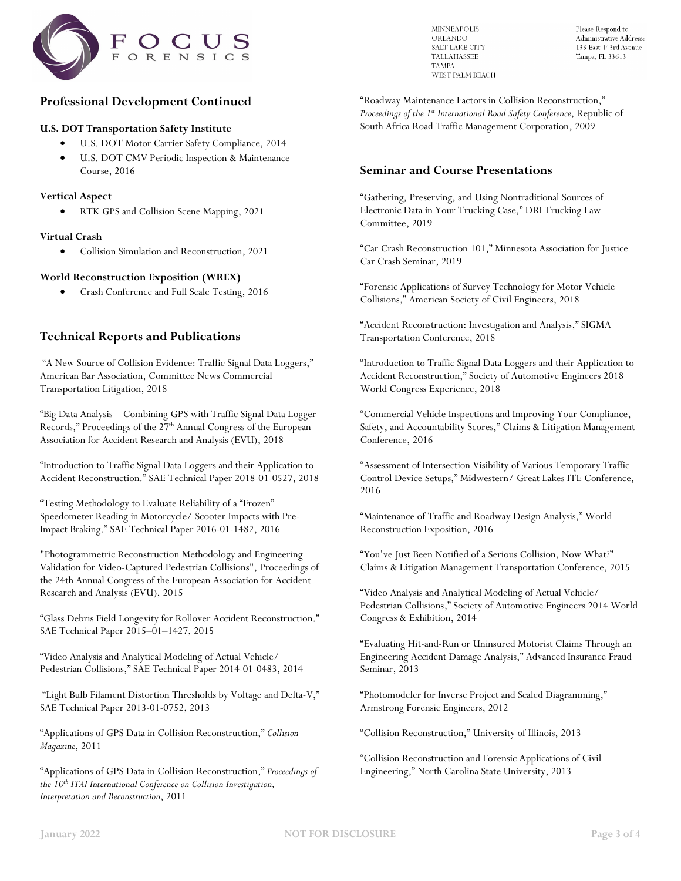

# **Professional Development Continued**

### **U.S. DOT Transportation Safety Institute**

- U.S. DOT Motor Carrier Safety Compliance, 2014
- U.S. DOT CMV Periodic Inspection & Maintenance Course, 2016

## **Vertical Aspect**

• RTK GPS and Collision Scene Mapping, 2021

## **Virtual Crash**

• Collision Simulation and Reconstruction, 2021

## **World Reconstruction Exposition (WREX)**

• Crash Conference and Full Scale Testing, 2016

# **Technical Reports and Publications**

"A New Source of Collision Evidence: Traffic Signal Data Loggers," American Bar Association, Committee News Commercial Transportation Litigation, 2018

"Big Data Analysis – Combining GPS with Traffic Signal Data Logger Records," Proceedings of the 27<sup>th</sup> Annual Congress of the European Association for Accident Research and Analysis (EVU), 2018

"Introduction to Traffic Signal Data Loggers and their Application to Accident Reconstruction." SAE Technical Paper 2018-01-0527, 2018

"Testing Methodology to Evaluate Reliability of a "Frozen" Speedometer Reading in Motorcycle/ Scooter Impacts with Pre-Impact Braking." SAE Technical Paper 2016-01-1482, 2016

"Photogrammetric Reconstruction Methodology and Engineering Validation for Video-Captured Pedestrian Collisions", Proceedings of the 24th Annual Congress of the European Association for Accident Research and Analysis (EVU), 2015

"Glass Debris Field Longevity for Rollover Accident Reconstruction." SAE Technical Paper 2015–01–1427, 2015

"Video Analysis and Analytical Modeling of Actual Vehicle/ Pedestrian Collisions," SAE Technical Paper 2014-01-0483, 2014

"Light Bulb Filament Distortion Thresholds by Voltage and Delta-V," SAE Technical Paper 2013-01-0752, 2013

"Applications of GPS Data in Collision Reconstruction," *Collision Magazine*, 2011

"Applications of GPS Data in Collision Reconstruction," *Proceedings of the 10th ITAI International Conference on Collision Investigation, Interpretation and Reconstruction*, 2011

**MINNEAPOLIS** ORLANDO SALT LAKE CITY **TALLAHASSEE TAMPA** WEST PALM BEACH Please Respond to Administrative Address: 133 East 143rd Avenue Tampa, FL 33613

"Roadway Maintenance Factors in Collision Reconstruction," *Proceedings of the 1st International Road Safety Conference*, Republic of South Africa Road Traffic Management Corporation, 2009

# **Seminar and Course Presentations**

"Gathering, Preserving, and Using Nontraditional Sources of Electronic Data in Your Trucking Case," DRI Trucking Law Committee, 2019

"Car Crash Reconstruction 101," Minnesota Association for Justice Car Crash Seminar, 2019

"Forensic Applications of Survey Technology for Motor Vehicle Collisions," American Society of Civil Engineers, 2018

"Accident Reconstruction: Investigation and Analysis," SIGMA Transportation Conference, 2018

"Introduction to Traffic Signal Data Loggers and their Application to Accident Reconstruction," Society of Automotive Engineers 2018 World Congress Experience, 2018

"Commercial Vehicle Inspections and Improving Your Compliance, Safety, and Accountability Scores," Claims & Litigation Management Conference, 2016

"Assessment of Intersection Visibility of Various Temporary Traffic Control Device Setups," Midwestern/ Great Lakes ITE Conference, 2016

"Maintenance of Traffic and Roadway Design Analysis," World Reconstruction Exposition, 2016

"You've Just Been Notified of a Serious Collision, Now What?" Claims & Litigation Management Transportation Conference, 2015

"Video Analysis and Analytical Modeling of Actual Vehicle/ Pedestrian Collisions," Society of Automotive Engineers 2014 World Congress & Exhibition, 2014

"Evaluating Hit-and-Run or Uninsured Motorist Claims Through an Engineering Accident Damage Analysis," Advanced Insurance Fraud Seminar, 2013

"Photomodeler for Inverse Project and Scaled Diagramming," Armstrong Forensic Engineers, 2012

"Collision Reconstruction," University of Illinois, 2013

"Collision Reconstruction and Forensic Applications of Civil Engineering," North Carolina State University, 2013